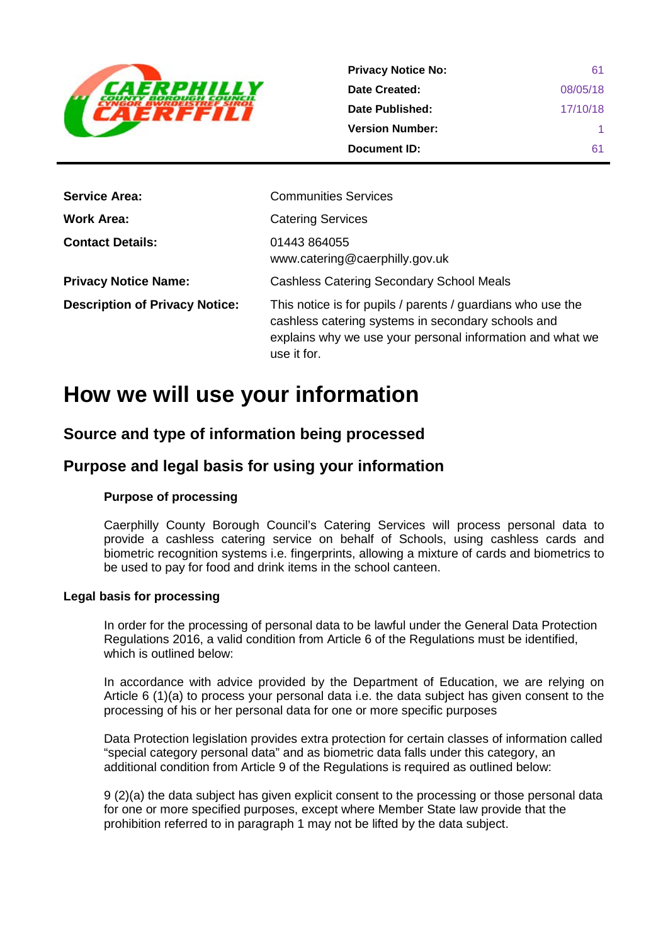

| <b>Privacy Notice No:</b> | 61       |
|---------------------------|----------|
| Date Created:             | 08/05/18 |
| Date Published:           | 17/10/18 |
| <b>Version Number:</b>    |          |
| Document ID:              | 61       |

| <b>Service Area:</b>                  | <b>Communities Services</b>                                                                                                                                                                   |
|---------------------------------------|-----------------------------------------------------------------------------------------------------------------------------------------------------------------------------------------------|
| Work Area:                            | <b>Catering Services</b>                                                                                                                                                                      |
| <b>Contact Details:</b>               | 01443 864055<br>www.catering@caerphilly.gov.uk                                                                                                                                                |
| <b>Privacy Notice Name:</b>           | <b>Cashless Catering Secondary School Meals</b>                                                                                                                                               |
| <b>Description of Privacy Notice:</b> | This notice is for pupils / parents / guardians who use the<br>cashless catering systems in secondary schools and<br>explains why we use your personal information and what we<br>use it for. |

# **How we will use your information**

# **Source and type of information being processed**

# **Purpose and legal basis for using your information**

## **Purpose of processing**

Caerphilly County Borough Council's Catering Services will process personal data to provide a cashless catering service on behalf of Schools, using cashless cards and biometric recognition systems i.e. fingerprints, allowing a mixture of cards and biometrics to be used to pay for food and drink items in the school canteen.

### **Legal basis for processing**

In order for the processing of personal data to be lawful under the General Data Protection Regulations 2016, a valid condition from Article 6 of the Regulations must be identified, which is outlined below:

In accordance with advice provided by the Department of Education, we are relying on Article 6 (1)(a) to process your personal data i.e. the data subject has given consent to the processing of his or her personal data for one or more specific purposes

Data Protection legislation provides extra protection for certain classes of information called "special category personal data" and as biometric data falls under this category, an additional condition from Article 9 of the Regulations is required as outlined below:

9 (2)(a) the data subject has given explicit consent to the processing or those personal data for one or more specified purposes, except where Member State law provide that the prohibition referred to in paragraph 1 may not be lifted by the data subject.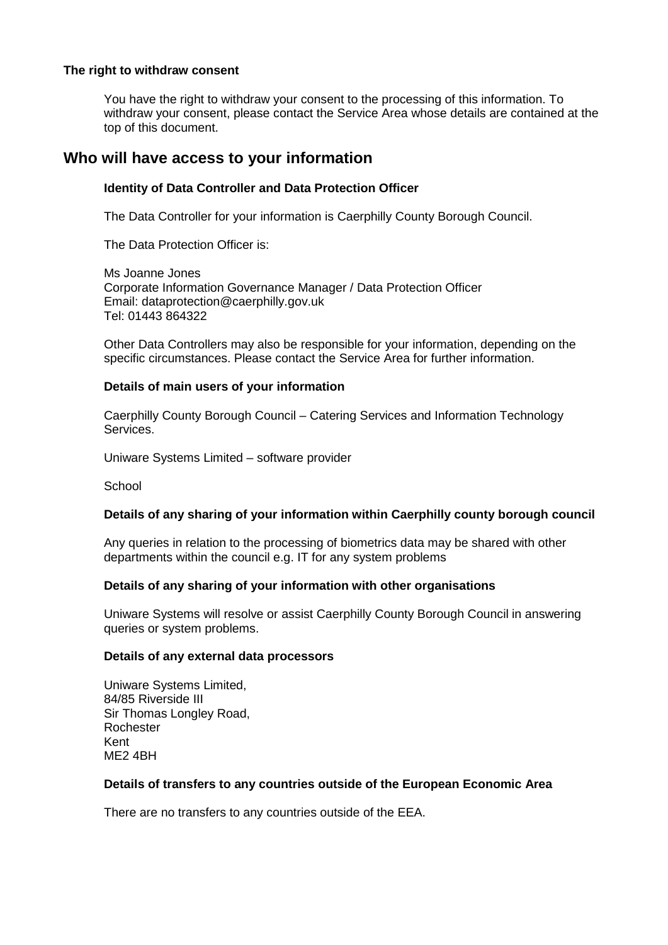#### **The right to withdraw consent**

You have the right to withdraw your consent to the processing of this information. To withdraw your consent, please contact the Service Area whose details are contained at the top of this document.

# **Who will have access to your information**

### **Identity of Data Controller and Data Protection Officer**

The Data Controller for your information is Caerphilly County Borough Council.

The Data Protection Officer is:

Ms Joanne Jones Corporate Information Governance Manager / Data Protection Officer Email: dataprotection@caerphilly.gov.uk Tel: 01443 864322

Other Data Controllers may also be responsible for your information, depending on the specific circumstances. Please contact the Service Area for further information.

#### **Details of main users of your information**

Caerphilly County Borough Council – Catering Services and Information Technology Services.

Uniware Systems Limited – software provider

**School** 

#### **Details of any sharing of your information within Caerphilly county borough council**

Any queries in relation to the processing of biometrics data may be shared with other departments within the council e.g. IT for any system problems

#### **Details of any sharing of your information with other organisations**

Uniware Systems will resolve or assist Caerphilly County Borough Council in answering queries or system problems.

#### **Details of any external data processors**

Uniware Systems Limited, 84/85 Riverside III Sir Thomas Longley Road, Rochester Kent ME2 4BH

#### **Details of transfers to any countries outside of the European Economic Area**

There are no transfers to any countries outside of the EEA.